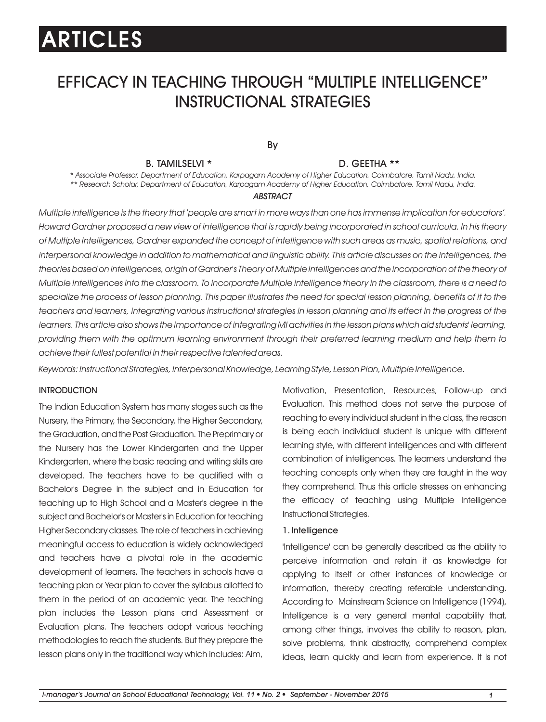# EFFICACY IN TEACHING THROUGH "MULTIPLE INTELLIGENCE" INSTRUCTIONAL STRATEGIES

By

#### B. TAMILSELVI \* D. GEETHA \*\*

*\* Associate Professor, Department of Education, Karpagam Academy of Higher Education, Coimbatore, Tamil Nadu, India. \*\* Research Scholar, Department of Education, Karpagam Academy of Higher Education, Coimbatore, Tamil Nadu, India.*

#### *ABSTRACT*

*Multiple intelligence is the theory that 'people are smart in more ways than one has immense implication for educators'. Howard Gardner proposed a new view of intelligence that is rapidly being incorporated in school curricula. In his theory of Multiple Intelligences, Gardner expanded the concept of intelligence with such areas as music, spatial relations, and*  interpersonal knowledge in addition to mathematical and linguistic ability. This article discusses on the intelligences, the *theories based on intelligences, origin of Gardner's Theory of Multiple Intelligences and the incorporation of the theory of Multiple Intelligences into the classroom. To incorporate Multiple intelligence theory in the classroom, there is a need to specialize the process of lesson planning. This paper illustrates the need for special lesson planning, benefits of it to the teachers and learners, integrating various instructional strategies in lesson planning and its effect in the progress of the learners. This article also shows the importance of integrating MI activities in the lesson plans which aid students' learning, providing them with the optimum learning environment through their preferred learning medium and help them to achieve their fullest potential in their respective talented areas.*

*Keywords: Instructional Strategies, Interpersonal Knowledge, Learning Style, Lesson Plan, Multiple Intelligence.*

#### **INTRODUCTION**

The Indian Education System has many stages such as the Nursery, the Primary, the Secondary, the Higher Secondary, the Graduation, and the Post Graduation. The Preprimary or the Nursery has the Lower Kindergarten and the Upper Kindergarten, where the basic reading and writing skills are developed. The teachers have to be qualified with a Bachelor's Degree in the subject and in Education for teaching up to High School and a Master's degree in the subject and Bachelor's or Master's in Education for teaching Higher Secondary classes. The role of teachers in achieving meaningful access to education is widely acknowledged and teachers have a pivotal role in the academic development of learners. The teachers in schools have a teaching plan or Year plan to cover the syllabus allotted to them in the period of an academic year. The teaching plan includes the Lesson plans and Assessment or Evaluation plans. The teachers adopt various teaching methodologies to reach the students. But they prepare the lesson plans only in the traditional way which includes: Aim, Motivation, Presentation, Resources, Follow-up and Evaluation. This method does not serve the purpose of reaching to every individual student in the class, the reason is being each individual student is unique with different learning style, with different intelligences and with different combination of intelligences. The learners understand the teaching concepts only when they are taught in the way they comprehend. Thus this article stresses on enhancing the efficacy of teaching using Multiple Intelligence Instructional Strategies.

#### 1. Intelligence

'Intelligence' can be generally described as the ability to perceive information and retain it as knowledge for applying to itself or other instances of knowledge or information, thereby creating referable understanding. According to Mainstream Science on Intelligence (1994), Intelligence is a very general mental capability that, among other things, involves the ability to reason, plan, solve problems, think abstractly, comprehend complex ideas, learn quickly and learn from experience. It is not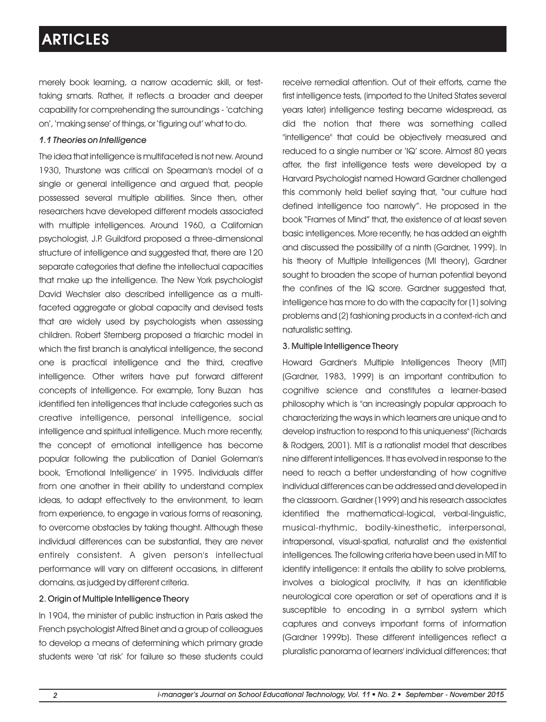merely book learning, a narrow academic skill, or testtaking smarts. Rather, it reflects a broader and deeper capability for comprehending the surroundings - 'catching on', 'making sense' of things, or 'figuring out' what to do.

### *1.1 Theories on Intelligence*

The idea that intelligence is multifaceted is not new. Around 1930, Thurstone was critical on Spearman's model of a single or general intelligence and argued that, people possessed several multiple abilities. Since then, other researchers have developed different models associated with multiple intelligences. Around 1960, a Californian psychologist, J.P. Guildford proposed a three-dimensional structure of intelligence and suggested that, there are 120 separate categories that define the intellectual capacities that make up the intelligence. The New York psychologist David Wechsler also described intelligence as a multifaceted aggregate or global capacity and devised tests that are widely used by psychologists when assessing children. Robert Sternberg proposed a triarchic model in which the first branch is analytical intelligence, the second one is practical intelligence and the third, creative intelligence. Other writers have put forward different concepts of intelligence. For example, Tony Buzan has identified ten intelligences that include categories such as creative intelligence, personal intelligence, social intelligence and spiritual intelligence. Much more recently, the concept of emotional intelligence has become popular following the publication of Daniel Goleman's book, 'Emotional Intelligence' in 1995. Individuals differ from one another in their ability to understand complex ideas, to adapt effectively to the environment, to learn from experience, to engage in various forms of reasoning, to overcome obstacles by taking thought. Although these individual differences can be substantial, they are never entirely consistent. A given person's intellectual performance will vary on different occasions, in different domains, as judged by different criteria.

### 2. Origin of Multiple Intelligence Theory

In 1904, the minister of public instruction in Paris asked the French psychologist Alfred Binet and a group of colleagues to develop a means of determining which primary grade students were 'at risk' for failure so these students could receive remedial attention. Out of their efforts, came the first intelligence tests, (imported to the United States several years later) intelligence testing became widespread, as did the notion that there was something called "intelligence" that could be objectively measured and reduced to a single number or 'IQ' score. Almost 80 years after, the first intelligence tests were developed by a Harvard Psychologist named Howard Gardner challenged this commonly held belief saying that, "our culture had defined intelligence too narrowly". He proposed in the book "Frames of Mind" that, the existence of at least seven basic intelligences. More recently, he has added an eighth and discussed the possibility of a ninth (Gardner, 1999). In his theory of Multiple Intelligences (MI theory), Gardner sought to broaden the scope of human potential beyond the confines of the IQ score. Gardner suggested that, intelligence has more to do with the capacity for (1) solving problems and (2) fashioning products in a context-rich and naturalistic setting.

#### 3. Multiple Intelligence Theory

Howard Gardner's Multiple Intelligences Theory (MIT) (Gardner, 1983, 1999) is an important contribution to cognitive science and constitutes a learner-based philosophy which is "an increasingly popular approach to characterizing the ways in which learners are unique and to develop instruction to respond to this uniqueness" (Richards & Rodgers, 2001). MIT is a rationalist model that describes nine different intelligences. It has evolved in response to the need to reach a better understanding of how cognitive individual differences can be addressed and developed in the classroom. Gardner (1999) and his research associates identified the mathematical-logical, verbal-linguistic, musical-rhythmic, bodily-kinesthetic, interpersonal, intrapersonal, visual-spatial, naturalist and the existential intelligences. The following criteria have been used in MIT to identify intelligence: it entails the ability to solve problems, involves a biological proclivity, it has an identifiable neurological core operation or set of operations and it is susceptible to encoding in a symbol system which captures and conveys important forms of information (Gardner 1999b). These different intelligences reflect a pluralistic panorama of learners' individual differences; that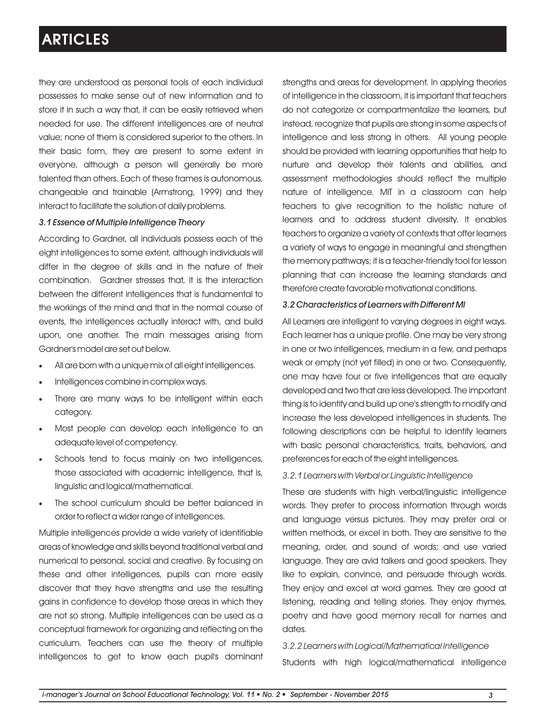they are understood as personal tools of each individual possesses to make sense out of new information and to store it in such a way that, it can be easily retrieved when needed for use. The different intelligences are of neutral value; none of them is considered superior to the others. In their basic form, they are present to some extent in everyone, although a person will generally be more talented than others. Each of these frames is autonomous, changeable and trainable (Armstrong, 1999) and they interact to facilitate the solution of daily problems.

### *3.1 Essence of Multiple Intelligence Theory*

According to Gardner, all individuals possess each of the eight intelligences to some extent, although individuals will differ in the degree of skills and in the nature of their combination. Gardner stresses that, it is the interaction between the different intelligences that is fundamental to the workings of the mind and that in the normal course of events, the intelligences actually interact with, and build upon, one another. The main messages arising from Gardner's model are set out below.

- All are born with a unique mix of all eight intelligences.
- ·Intelligences combine in complex ways.
- ·There are many ways to be intelligent within each category.
- ·Most people can develop each intelligence to an adequate level of competency.
- ·Schools tend to focus mainly on two intelligences, those associated with academic intelligence, that is, linguistic and logical/mathematical.
- The school curriculum should be better balanced in order to reflect a wider range of intelligences.

Multiple intelligences provide a wide variety of identifiable areas of knowledge and skills beyond traditional verbal and numerical to personal, social and creative. By focusing on these and other intelligences, pupils can more easily discover that they have strengths and use the resulting gains in confidence to develop those areas in which they are not so strong. Multiple intelligences can be used as a conceptual framework for organizing and reflecting on the curriculum. Teachers can use the theory of multiple intelligences to get to know each pupil's dominant

strengths and areas for development. In applying theories of intelligence in the classroom, it is important that teachers do not categorize or compartmentalize the learners, but instead, recognize that pupils are strong in some aspects of intelligence and less strong in others. All young people should be provided with learning opportunities that help to nurture and develop their talents and abilities, and assessment methodologies should reflect the multiple nature of intelligence. MIT in a classroom can help teachers to give recognition to the holistic nature of learners and to address student diversity. It enables teachers to organize a variety of contexts that offer learners a variety of ways to engage in meaningful and strengthen the memory pathways; it is a teacher-friendly tool for lesson planning that can increase the learning standards and therefore create favorable motivational conditions.

#### *3.2 Characteristics of Learners with Different MI*

All Learners are intelligent to varying degrees in eight ways. Each learner has a unique profile. One may be very strong in one or two intelligences, medium in a few, and perhaps weak or empty (not yet filled) in one or two. Consequently, one may have four or five intelligences that are equally developed and two that are less developed. The important thing is to identify and build up one's strength to modify and increase the less developed intelligences in students. The following descriptions can be helpful to identify learners with basic personal characteristics, traits, behaviors, and preferences for each of the eight intelligences.

#### *3.2.1 Learners with Verbal or Linguistic Intelligence*

These are students with high verbal/linguistic intelligence words. They prefer to process information through words and language versus pictures. They may prefer oral or written methods, or excel in both. They are sensitive to the meaning, order, and sound of words; and use varied language. They are avid talkers and good speakers. They like to explain, convince, and persuade through words. They enjoy and excel at word games. They are good at listening, reading and telling stories. They enjoy rhymes, poetry and have good memory recall for names and dates.

*3.2.2 Learners with Logical/Mathematical Intelligence*  Students with high logical/mathematical intelligence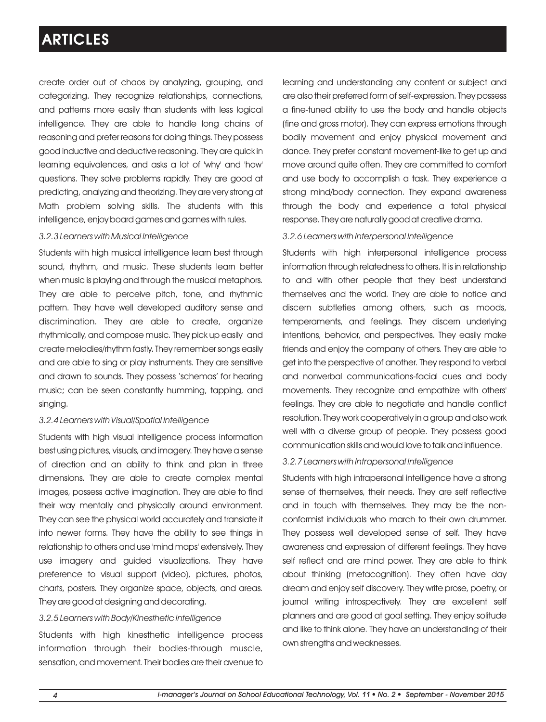create order out of chaos by analyzing, grouping, and categorizing. They recognize relationships, connections, and patterns more easily than students with less logical intelligence. They are able to handle long chains of reasoning and prefer reasons for doing things. They possess good inductive and deductive reasoning. They are quick in learning equivalences, and asks a lot of 'why' and 'how' questions. They solve problems rapidly. They are good at predicting, analyzing and theorizing. They are very strong at Math problem solving skills. The students with this intelligence, enjoy board games and games with rules.

### *3.2.3 Learners with Musical Intelligence*

Students with high musical intelligence learn best through sound, rhythm, and music. These students learn better when music is playing and through the musical metaphors. They are able to perceive pitch, tone, and rhythmic pattern. They have well developed auditory sense and discrimination. They are able to create, organize rhythmically, and compose music. They pick up easily and create melodies/rhythm fastly. They remember songs easily and are able to sing or play instruments. They are sensitive and drawn to sounds. They possess 'schemas' for hearing music; can be seen constantly humming, tapping, and singing.

#### *3.2.4 Learners with Visual/Spatial Intelligence*

Students with high visual intelligence process information best using pictures, visuals, and imagery. They have a sense of direction and an ability to think and plan in three dimensions. They are able to create complex mental images, possess active imagination. They are able to find their way mentally and physically around environment. They can see the physical world accurately and translate it into newer forms. They have the ability to see things in relationship to others and use 'mind maps' extensively. They use imagery and guided visualizations. They have preference to visual support (video), pictures, photos, charts, posters. They organize space, objects, and areas. They are good at designing and decorating.

#### *3.2.5 Learners with Body/Kinesthetic Intelligence*

Students with high kinesthetic intelligence process information through their bodies-through muscle, sensation, and movement. Their bodies are their avenue to learning and understanding any content or subject and are also their preferred form of self-expression. They possess a fine-tuned ability to use the body and handle objects (fine and gross motor). They can express emotions through bodily movement and enjoy physical movement and dance. They prefer constant movement-like to get up and move around quite often. They are committed to comfort and use body to accomplish a task. They experience a strong mind/body connection. They expand awareness through the body and experience a total physical response. They are naturally good at creative drama.

#### *3.2.6 Learners with Interpersonal Intelligence*

Students with high interpersonal intelligence process information through relatedness to others. It is in relationship to and with other people that they best understand themselves and the world. They are able to notice and discern subtleties among others, such as moods, temperaments, and feelings. They discern underlying intentions, behavior, and perspectives. They easily make friends and enjoy the company of others. They are able to get into the perspective of another. They respond to verbal and nonverbal communications-facial cues and body movements. They recognize and empathize with others' feelings. They are able to negotiate and handle conflict resolution. They work cooperatively in a group and also work well with a diverse group of people. They possess good communication skills and would love to talk and influence.

#### *3.2.7 Learners with Intrapersonal Intelligence*

Students with high intrapersonal intelligence have a strong sense of themselves, their needs. They are self reflective and in touch with themselves. They may be the nonconformist individuals who march to their own drummer. They possess well developed sense of self. They have awareness and expression of different feelings. They have self reflect and are mind power. They are able to think about thinking (metacognition). They often have day dream and enjoy self discovery. They write prose, poetry, or journal writing introspectively. They are excellent self planners and are good at goal setting. They enjoy solitude and like to think alone. They have an understanding of their own strengths and weaknesses.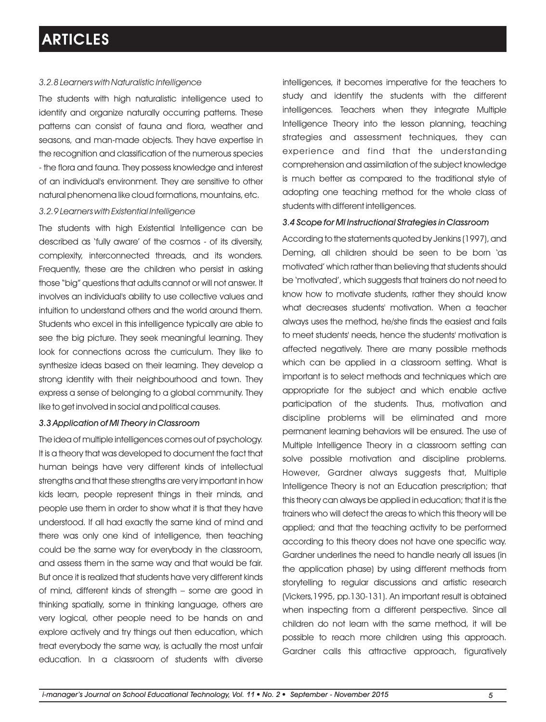### *3.2.8*

The students with high naturalistic intelligence used to identify and organize naturally occurring patterns. These patterns can consist of fauna and flora, weather and seasons, and man-made objects. They have expertise in the recognition and classification of the numerous species - the flora and fauna. They possess knowledge and interest of an individual's environment. They are sensitive to other natural phenomena like cloud formations, mountains, etc.

#### *3.2.9 Learners with Existential Intelligence*

The students with high Existential Intelligence can be described as 'fully aware' of the cosmos - of its diversity, complexity, interconnected threads, and its wonders. Frequently, these are the children who persist in asking those "big" questions that adults cannot or will not answer. It involves an individual's ability to use collective values and intuition to understand others and the world around them. Students who excel in this intelligence typically are able to see the big picture. They seek meaningful learning. They look for connections across the curriculum. They like to synthesize ideas based on their learning. They develop a strong identity with their neighbourhood and town. They express a sense of belonging to a global community. They like to get involved in social and political causes.

#### *3.3 Application of MI Theory in Classroom*

The idea of multiple intelligences comes out of psychology. It is a theory that was developed to document the fact that human beings have very different kinds of intellectual strengths and that these strengths are very important in how kids learn, people represent things in their minds, and people use them in order to show what it is that they have understood. If all had exactly the same kind of mind and there was only one kind of intelligence, then teaching could be the same way for everybody in the classroom, and assess them in the same way and that would be fair. But once it is realized that students have very different kinds of mind, different kinds of strength – some are good in thinking spatially, some in thinking language, others are very logical, other people need to be hands on and explore actively and try things out then education, which treat everybody the same way, is actually the most unfair education. In a classroom of students with diverse

intelligences, it becomes imperative for the teachers to study and identify the students with the different intelligences. Teachers when they integrate Multiple Intelligence Theory into the lesson planning, teaching strategies and assessment techniques, they can experience and find that the understanding comprehension and assimilation of the subject knowledge is much better as compared to the traditional style of adopting one teaching method for the whole class of students with different intelligences.

#### *3.4 Scope for MI Instructional Strategies in Classroom*

According to the statements quoted by Jenkins (1997), and Deming, all children should be seen to be born 'as motivated' which rather than believing that students should be 'motivated', which suggests that trainers do not need to know how to motivate students, rather they should know what decreases students' motivation. When a teacher always uses the method, he/she finds the easiest and fails to meet students' needs, hence the students' motivation is affected negatively. There are many possible methods which can be applied in a classroom setting. What is important is to select methods and techniques which are appropriate for the subject and which enable active participation of the students. Thus, motivation and discipline problems will be eliminated and more permanent learning behaviors will be ensured. The use of Multiple Intelligence Theory in a classroom setting can solve possible motivation and discipline problems. However, Gardner always suggests that, Multiple Intelligence Theory is not an Education prescription; that this theory can always be applied in education; that it is the trainers who will detect the areas to which this theory will be applied; and that the teaching activity to be performed according to this theory does not have one specific way. Gardner underlines the need to handle nearly all issues (in the application phase) by using different methods from storytelling to regular discussions and artistic research (Vickers,1995, pp.130-131). An important result is obtained when inspecting from a different perspective. Since all children do not learn with the same method, it will be possible to reach more children using this approach. Gardner calls this attractive approach, figuratively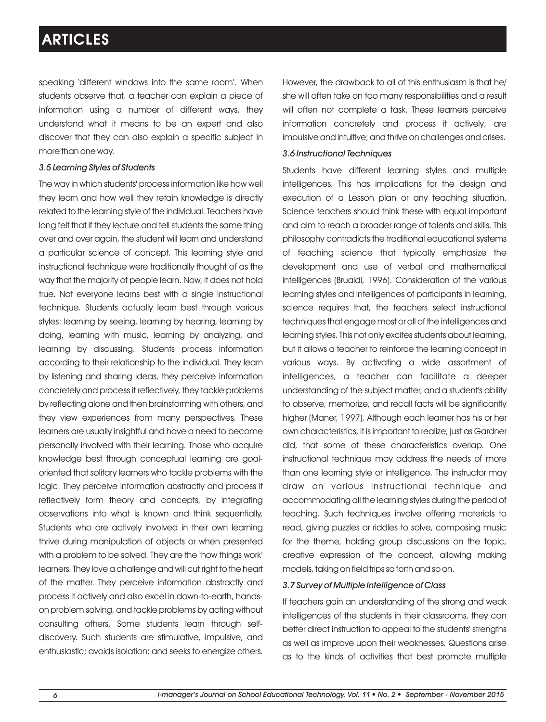speaking 'different windows into the same room'. When students observe that, a teacher can explain a piece of information using a number of different ways, they understand what it means to be an expert and also discover that they can also explain a specific subject in more than one way.

#### *3.5 Learning Styles of Students*

The way in which students' process information like how well they learn and how well they retain knowledge is directly related to the learning style of the individual. Teachers have long felt that if they lecture and tell students the same thing over and over again, the student will learn and understand a particular science of concept. This learning style and instructional technique were traditionally thought of as the way that the majority of people learn. Now, it does not hold true. Not everyone learns best with a single instructional technique. Students actually learn best through various styles: learning by seeing, learning by hearing, learning by doing, learning with music, learning by analyzing, and learning by discussing. Students process information according to their relationship to the individual. They learn by listening and sharing ideas, they perceive information concretely and process it reflectively, they tackle problems by reflecting alone and then brainstorming with others, and they view experiences from many perspectives. These learners are usually insightful and have a need to become personally involved with their learning. Those who acquire knowledge best through conceptual learning are goaloriented that solitary learners who tackle problems with the logic. They perceive information abstractly and process it reflectively form theory and concepts, by integrating observations into what is known and think sequentially. Students who are actively involved in their own learning thrive during manipulation of objects or when presented with a problem to be solved. They are the 'how things work' learners. They love a challenge and will cut right to the heart of the matter. They perceive information abstractly and process it actively and also excel in down-to-earth, handson problem solving, and tackle problems by acting without consulting others. Some students learn through selfdiscovery. Such students are stimulative, impulsive, and enthusiastic; avoids isolation; and seeks to energize others.

However, the drawback to all of this enthusiasm is that he/ she will often take on too many responsibilities and a result will often not complete a task. These learners perceive information concretely and process it actively; are impulsive and intuitive; and thrive on challenges and crises.

#### *3.6 Instructional Techniques*

Students have different learning styles and multiple intelligences. This has implications for the design and execution of a Lesson plan or any teaching situation. Science teachers should think these with equal important and aim to reach a broader range of talents and skills. This philosophy contradicts the traditional educational systems of teaching science that typically emphasize the development and use of verbal and mathematical intelligences (Brualdi, 1996). Consideration of the various learning styles and intelligences of participants in learning, science requires that, the teachers select instructional techniques that engage most or all of the intelligences and learning styles. This not only excites students about learning, but it allows a teacher to reinforce the learning concept in various ways. By activating a wide assortment of intelligences, a teacher can facilitate a deeper understanding of the subject matter, and a student's ability to observe, memorize, and recall facts will be significantly higher (Maner, 1997). Although each learner has his or her own characteristics, it is important to realize, just as Gardner did, that some of these characteristics overlap. One instructional technique may address the needs of more than one learning style or intelligence. The instructor may draw on various instructional technique and accommodating all the learning styles during the period of teaching. Such techniques involve offering materials to read, giving puzzles or riddles to solve, composing music for the theme, holding group discussions on the topic, creative expression of the concept, allowing making models, taking on field trips so forth and so on.

### *3.7 Survey of Multiple Intelligence of Class*

If teachers gain an understanding of the strong and weak intelligences of the students in their classrooms, they can better direct instruction to appeal to the students' strengths as well as improve upon their weaknesses. Questions arise as to the kinds of activities that best promote multiple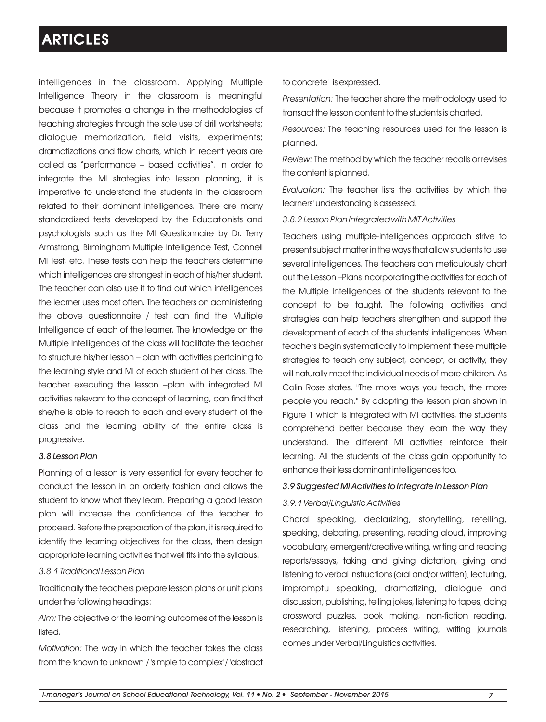intelligences in the classroom. Applying Multiple Intelligence Theory in the classroom is meaningful because it promotes a change in the methodologies of teaching strategies through the sole use of drill worksheets; dialogue memorization, field visits, experiments; dramatizations and flow charts, which in recent years are called as "performance – based activities". In order to integrate the MI strategies into lesson planning, it is imperative to understand the students in the classroom related to their dominant intelligences. There are many standardized tests developed by the Educationists and psychologists such as the MI Questionnaire by Dr. Terry Armstrong, Birmingham Multiple Intelligence Test, Connell MI Test, etc. These tests can help the teachers determine which intelligences are strongest in each of his/her student. The teacher can also use it to find out which intelligences the learner uses most often. The teachers on administering the above questionnaire / test can find the Multiple Intelligence of each of the learner. The knowledge on the Multiple Intelligences of the class will facilitate the teacher to structure his/her lesson – plan with activities pertaining to the learning style and MI of each student of her class. The teacher executing the lesson –plan with integrated MI activities relevant to the concept of learning, can find that she/he is able to reach to each and every student of the class and the learning ability of the entire class is progressive.

### *3.8 Lesson Plan*

Planning of a lesson is very essential for every teacher to conduct the lesson in an orderly fashion and allows the student to know what they learn. Preparing a good lesson plan will increase the confidence of the teacher to proceed. Before the preparation of the plan, it is required to identify the learning objectives for the class, then design appropriate learning activities that well fits into the syllabus.

### *3.8.1 Traditional Lesson Plan*

Traditionally the teachers prepare lesson plans or unit plans under the following headings:

*Aim:* The objective or the learning outcomes of the lesson is listed.

*Motivation:* The way in which the teacher takes the class from the 'known to unknown' / 'simple to complex' / 'abstract to concrete' is expressed.

*Presentation:* The teacher share the methodology used to transact the lesson content to the students is charted.

*Resources:* The teaching resources used for the lesson is planned.

*Review:* The method by which the teacher recalls or revises the content is planned.

*Evaluation:* The teacher lists the activities by which the learners' understanding is assessed.

*3.8.2 Lesson Plan Integrated with MIT Activities*

Teachers using multiple-intelligences approach strive to present subject matter in the ways that allow students to use several intelligences. The teachers can meticulously chart out the Lesson –Plans incorporating the activities for each of the Multiple Intelligences of the students relevant to the concept to be taught. The following activities and strategies can help teachers strengthen and support the development of each of the students' intelligences. When teachers begin systematically to implement these multiple strategies to teach any subject, concept, or activity, they will naturally meet the individual needs of more children. As Colin Rose states, "The more ways you teach, the more people you reach." By adopting the lesson plan shown in Figure 1 which is integrated with MI activities, the students comprehend better because they learn the way they understand. The different MI activities reinforce their learning. All the students of the class gain opportunity to enhance their less dominant intelligences too.

### *3.9 Suggested MI Activities to Integrate In Lesson Plan*

### *3.9.1 Verbal/Linguistic Activities*

Choral speaking, declarizing, storytelling, retelling, speaking, debating, presenting, reading aloud, improving vocabulary, emergent/creative writing, writing and reading reports/essays, taking and giving dictation, giving and listening to verbal instructions (oral and/or written), lecturing, impromptu speaking, dramatizing, dialogue and discussion, publishing, telling jokes, listening to tapes, doing crossword puzzles, book making, non-fiction reading, researching, listening, process writing, writing journals comes under Verbal/Linguistics activities.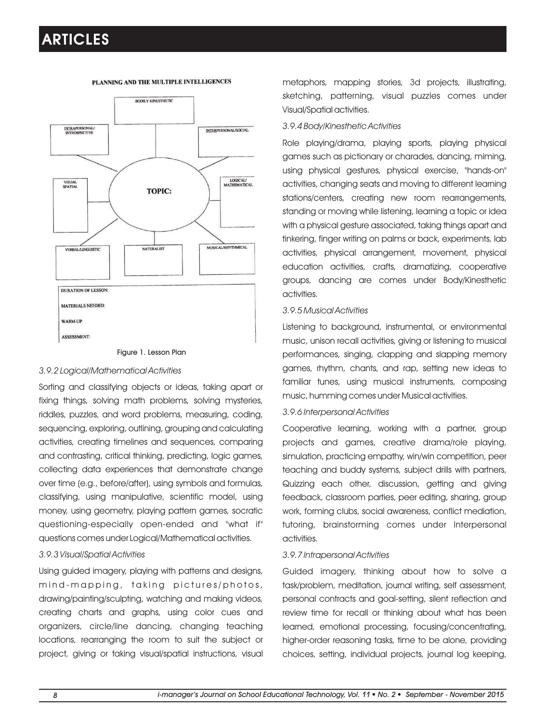

#### PLANNING AND THE MULTIPLE INTELLIGENCES

#### Figure 1. Lesson Plan

#### *3.9.2 Logical/Mathematical Activities*

Sorting and classifying objects or ideas, taking apart or fixing things, solving math problems, solving mysteries, riddles, puzzles, and word problems, measuring, coding, sequencing, exploring, outlining, grouping and calculating activities, creating timelines and sequences, comparing and contrasting, critical thinking, predicting, logic games, collecting data experiences that demonstrate change over time (e.g., before/after), using symbols and formulas, classifying, using manipulative, scientific model, using money, using geometry, playing pattern games, socratic questioning-especially open-ended and "what if" questions comes under Logical/Mathematical activities.

#### *3.9.3 Visual/Spatial Activities*

Using guided imagery, playing with patterns and designs, mind-mapping, taking pictures/photos, drawing/painting/sculpting, watching and making videos, creating charts and graphs, using color cues and organizers, circle/line dancing, changing teaching locations, rearranging the room to suit the subject or project, giving or taking visual/spatial instructions, visual metaphors, mapping stories, 3d projects, illustrating, sketching, patterning, visual puzzles comes under Visual/Spatial activities.

### *3.9.4 Body/Kinesthetic Activities*

Role playing/drama, playing sports, playing physical games such as pictionary or charades, dancing, miming, using physical gestures, physical exercise, "hands-on" activities, changing seats and moving to different learning stations/centers, creating new room rearrangements, standing or moving while listening, learning a topic or idea with a physical gesture associated, taking things apart and tinkering, finger writing on palms or back, experiments, lab activities, physical arrangement, movement, physical education activities, crafts, dramatizing, cooperative groups, dancing are comes under Body/Kinesthetic activities.

#### *3.9.5 Musical Activities*

Listening to background, instrumental, or environmental music, unison recall activities, giving or listening to musical performances, singing, clapping and slapping memory games, rhythm, chants, and rap, setting new ideas to familiar tunes, using musical instruments, composing music, humming comes under Musical activities.

### *3.9.6 Interpersonal Activities*

Cooperative learning, working with a partner, group projects and games, creative drama/role playing, simulation, practicing empathy, win/win competition, peer teaching and buddy systems, subject drills with partners, Quizzing each other, discussion, getting and giving feedback, classroom parties, peer editing, sharing, group work, forming clubs, social awareness, conflict mediation, tutoring, brainstorming comes under Interpersonal activities.

#### *3.9.7 Intrapersonal Activities*

Guided imagery, thinking about how to solve a task/problem, meditation, journal writing, self assessment, personal contracts and goal-setting, silent reflection and review time for recall or thinking about what has been learned, emotional processing, focusing/concentrating, higher-order reasoning tasks, time to be alone, providing choices, setting, individual projects, journal log keeping,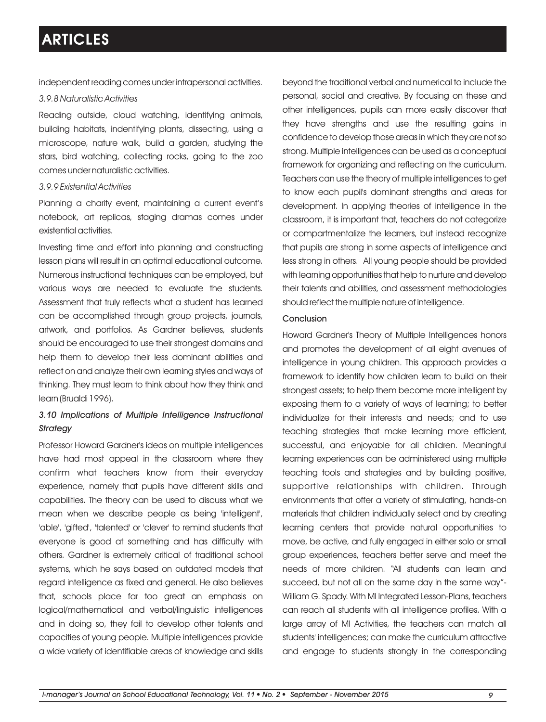independent reading comes under intrapersonal activities.

#### *3.9.8 Naturalistic Activities*

Reading outside, cloud watching, identifying animals, building habitats, indentifying plants, dissecting, using a microscope, nature walk, build a garden, studying the stars, bird watching, collecting rocks, going to the zoo comes under naturalistic activities.

#### *3.9.9 Existential Activities*

Planning a charity event, maintaining a current event's notebook, art replicas, staging dramas comes under existential activities.

Investing time and effort into planning and constructing lesson plans will result in an optimal educational outcome. Numerous instructional techniques can be employed, but various ways are needed to evaluate the students. Assessment that truly reflects what a student has learned can be accomplished through group projects, journals, artwork, and portfolios. As Gardner believes, students should be encouraged to use their strongest domains and help them to develop their less dominant abilities and reflect on and analyze their own learning styles and ways of thinking. They must learn to think about how they think and learn (Brualdi 1996).

### *3.10 Implications of Multiple Intelligence Instructional Strategy*

Professor Howard Gardner's ideas on multiple intelligences have had most appeal in the classroom where they confirm what teachers know from their everyday experience, namely that pupils have different skills and capabilities. The theory can be used to discuss what we mean when we describe people as being 'intelligent', 'able', 'gifted', 'talented' or 'clever' to remind students that everyone is good at something and has difficulty with others. Gardner is extremely critical of traditional school systems, which he says based on outdated models that regard intelligence as fixed and general. He also believes that, schools place far too great an emphasis on logical/mathematical and verbal/linguistic intelligences and in doing so, they fail to develop other talents and capacities of young people. Multiple intelligences provide a wide variety of identifiable areas of knowledge and skills beyond the traditional verbal and numerical to include the personal, social and creative. By focusing on these and other intelligences, pupils can more easily discover that they have strengths and use the resulting gains in confidence to develop those areas in which they are not so strong. Multiple intelligences can be used as a conceptual framework for organizing and reflecting on the curriculum. Teachers can use the theory of multiple intelligences to get to know each pupil's dominant strengths and areas for development. In applying theories of intelligence in the classroom, it is important that, teachers do not categorize or compartmentalize the learners, but instead recognize that pupils are strong in some aspects of intelligence and less strong in others. All young people should be provided with learning opportunities that help to nurture and develop their talents and abilities, and assessment methodologies should reflect the multiple nature of intelligence.

#### Conclusion

Howard Gardner's Theory of Multiple Intelligences honors and promotes the development of all eight avenues of intelligence in young children. This approach provides a framework to identify how children learn to build on their strongest assets; to help them become more intelligent by exposing them to a variety of ways of learning; to better individualize for their interests and needs; and to use teaching strategies that make learning more efficient, successful, and enjoyable for all children. Meaningful learning experiences can be administered using multiple teaching tools and strategies and by building positive, supportive relationships with children. Through environments that offer a variety of stimulating, hands-on materials that children individually select and by creating learning centers that provide natural opportunities to move, be active, and fully engaged in either solo or small group experiences, teachers better serve and meet the needs of more children. "All students can learn and succeed, but not all on the same day in the same way"- William G. Spady. With MI Integrated Lesson-Plans, teachers can reach all students with all intelligence profiles. With a large array of MI Activities, the teachers can match all students' intelligences; can make the curriculum attractive and engage to students strongly in the corresponding